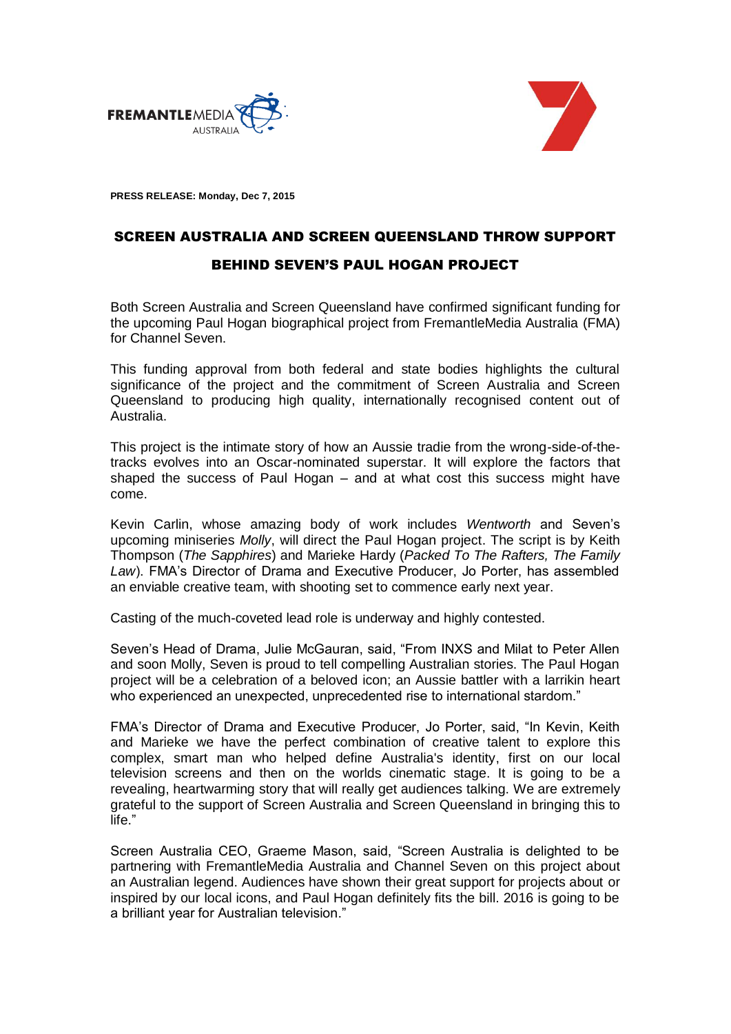



**PRESS RELEASE: Monday, Dec 7, 2015**

## SCREEN AUSTRALIA AND SCREEN QUEENSLAND THROW SUPPORT BEHIND SEVEN'S PAUL HOGAN PROJECT

Both Screen Australia and Screen Queensland have confirmed significant funding for the upcoming Paul Hogan biographical project from FremantleMedia Australia (FMA) for Channel Seven.

This funding approval from both federal and state bodies highlights the cultural significance of the project and the commitment of Screen Australia and Screen Queensland to producing high quality, internationally recognised content out of Australia.

This project is the intimate story of how an Aussie tradie from the wrong-side-of-thetracks evolves into an Oscar-nominated superstar. It will explore the factors that shaped the success of Paul Hogan – and at what cost this success might have come.

Kevin Carlin, whose amazing body of work includes *Wentworth* and Seven's upcoming miniseries *Molly*, will direct the Paul Hogan project. The script is by Keith Thompson (*The Sapphires*) and Marieke Hardy (*Packed To The Rafters, The Family Law*). FMA's Director of Drama and Executive Producer, Jo Porter, has assembled an enviable creative team, with shooting set to commence early next year.

Casting of the much-coveted lead role is underway and highly contested.

Seven's Head of Drama, Julie McGauran, said, "From INXS and Milat to Peter Allen and soon Molly, Seven is proud to tell compelling Australian stories. The Paul Hogan project will be a celebration of a beloved icon; an Aussie battler with a larrikin heart who experienced an unexpected, unprecedented rise to international stardom."

FMA's Director of Drama and Executive Producer, Jo Porter, said, "In Kevin, Keith and Marieke we have the perfect combination of creative talent to explore this complex, smart man who helped define Australia's identity, first on our local television screens and then on the worlds cinematic stage. It is going to be a revealing, heartwarming story that will really get audiences talking. We are extremely grateful to the support of Screen Australia and Screen Queensland in bringing this to life."

Screen Australia CEO, Graeme Mason, said, "Screen Australia is delighted to be partnering with FremantleMedia Australia and Channel Seven on this project about an Australian legend. Audiences have shown their great support for projects about or inspired by our local icons, and Paul Hogan definitely fits the bill. 2016 is going to be a brilliant year for Australian television."